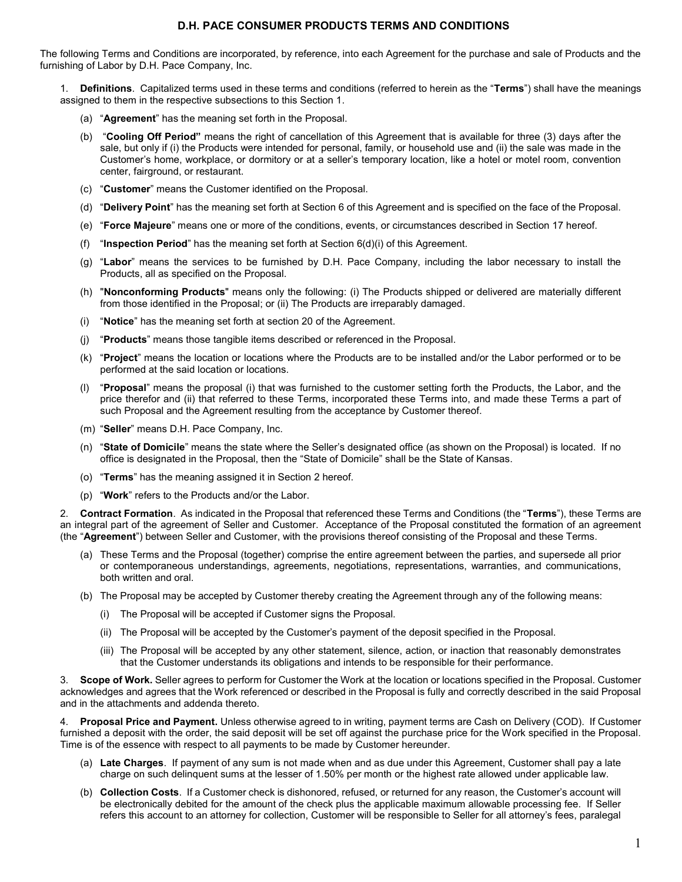The following Terms and Conditions are incorporated, by reference, into each Agreement for the purchase and sale of Products and the furnishing of Labor by D.H. Pace Company, Inc.

1. Definitions. Capitalized terms used in these terms and conditions (referred to herein as the "Terms") shall have the meanings assigned to them in the respective subsections to this Section 1.

- (a) "Agreement" has the meaning set forth in the Proposal.
- (b) "Cooling Off Period" means the right of cancellation of this Agreement that is available for three (3) days after the sale, but only if (i) the Products were intended for personal, family, or household use and (ii) the sale was made in the Customer's home, workplace, or dormitory or at a seller's temporary location, like a hotel or motel room, convention center, fairground, or restaurant.
- (c) "Customer" means the Customer identified on the Proposal.
- (d) "Delivery Point" has the meaning set forth at Section 6 of this Agreement and is specified on the face of the Proposal.
- (e) "Force Majeure" means one or more of the conditions, events, or circumstances described in Section 17 hereof.
- (f) "Inspection Period" has the meaning set forth at Section  $6(d)(i)$  of this Agreement.
- (g) "Labor" means the services to be furnished by D.H. Pace Company, including the labor necessary to install the Products, all as specified on the Proposal.
- (h) "Nonconforming Products" means only the following: (i) The Products shipped or delivered are materially different from those identified in the Proposal; or (ii) The Products are irreparably damaged.
- (i) "Notice" has the meaning set forth at section 20 of the Agreement.
- (j) "Products" means those tangible items described or referenced in the Proposal.
- (k) "Project" means the location or locations where the Products are to be installed and/or the Labor performed or to be performed at the said location or locations.
- "Proposal" means the proposal (i) that was furnished to the customer setting forth the Products, the Labor, and the price therefor and (ii) that referred to these Terms, incorporated these Terms into, and made these Terms a part of such Proposal and the Agreement resulting from the acceptance by Customer thereof.
- (m) "Seller" means D.H. Pace Company, Inc.
- (n) "State of Domicile" means the state where the Seller's designated office (as shown on the Proposal) is located. If no office is designated in the Proposal, then the "State of Domicile" shall be the State of Kansas.
- (o) "Terms" has the meaning assigned it in Section 2 hereof.
- (p) "Work" refers to the Products and/or the Labor.

2. Contract Formation. As indicated in the Proposal that referenced these Terms and Conditions (the "Terms"), these Terms are an integral part of the agreement of Seller and Customer. Acceptance of the Proposal constituted the formation of an agreement (the "Agreement") between Seller and Customer, with the provisions thereof consisting of the Proposal and these Terms.

- (a) These Terms and the Proposal (together) comprise the entire agreement between the parties, and supersede all prior or contemporaneous understandings, agreements, negotiations, representations, warranties, and communications, both written and oral.
- (b) The Proposal may be accepted by Customer thereby creating the Agreement through any of the following means:
	- (i) The Proposal will be accepted if Customer signs the Proposal.
	- (ii) The Proposal will be accepted by the Customer's payment of the deposit specified in the Proposal.
	- (iii) The Proposal will be accepted by any other statement, silence, action, or inaction that reasonably demonstrates that the Customer understands its obligations and intends to be responsible for their performance.

3. Scope of Work. Seller agrees to perform for Customer the Work at the location or locations specified in the Proposal. Customer acknowledges and agrees that the Work referenced or described in the Proposal is fully and correctly described in the said Proposal and in the attachments and addenda thereto.

4. Proposal Price and Payment. Unless otherwise agreed to in writing, payment terms are Cash on Delivery (COD). If Customer furnished a deposit with the order, the said deposit will be set off against the purchase price for the Work specified in the Proposal. Time is of the essence with respect to all payments to be made by Customer hereunder.

- (a) Late Charges. If payment of any sum is not made when and as due under this Agreement, Customer shall pay a late charge on such delinquent sums at the lesser of 1.50% per month or the highest rate allowed under applicable law.
- (b) Collection Costs. If a Customer check is dishonored, refused, or returned for any reason, the Customer's account will be electronically debited for the amount of the check plus the applicable maximum allowable processing fee. If Seller refers this account to an attorney for collection, Customer will be responsible to Seller for all attorney's fees, paralegal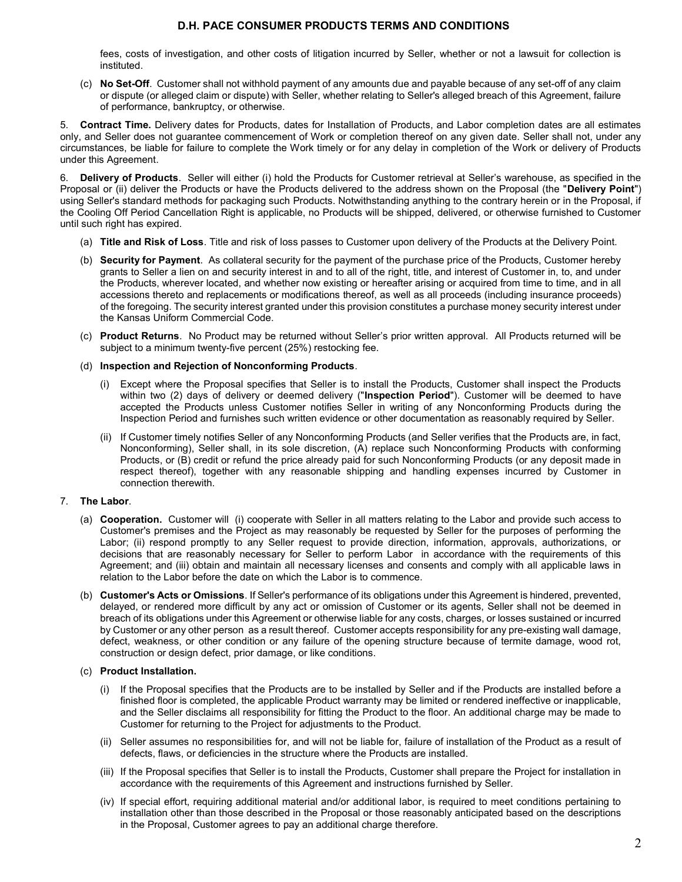fees, costs of investigation, and other costs of litigation incurred by Seller, whether or not a lawsuit for collection is instituted.

(c) No Set-Off. Customer shall not withhold payment of any amounts due and payable because of any set-off of any claim or dispute (or alleged claim or dispute) with Seller, whether relating to Seller's alleged breach of this Agreement, failure of performance, bankruptcy, or otherwise.

5. Contract Time. Delivery dates for Products, dates for Installation of Products, and Labor completion dates are all estimates only, and Seller does not guarantee commencement of Work or completion thereof on any given date. Seller shall not, under any circumstances, be liable for failure to complete the Work timely or for any delay in completion of the Work or delivery of Products under this Agreement.

6. Delivery of Products. Seller will either (i) hold the Products for Customer retrieval at Seller's warehouse, as specified in the Proposal or (ii) deliver the Products or have the Products delivered to the address shown on the Proposal (the "Delivery Point") using Seller's standard methods for packaging such Products. Notwithstanding anything to the contrary herein or in the Proposal, if the Cooling Off Period Cancellation Right is applicable, no Products will be shipped, delivered, or otherwise furnished to Customer until such right has expired.

- (a) Title and Risk of Loss. Title and risk of loss passes to Customer upon delivery of the Products at the Delivery Point.
- (b) Security for Payment. As collateral security for the payment of the purchase price of the Products, Customer hereby grants to Seller a lien on and security interest in and to all of the right, title, and interest of Customer in, to, and under the Products, wherever located, and whether now existing or hereafter arising or acquired from time to time, and in all accessions thereto and replacements or modifications thereof, as well as all proceeds (including insurance proceeds) of the foregoing. The security interest granted under this provision constitutes a purchase money security interest under the Kansas Uniform Commercial Code.
- (c) Product Returns. No Product may be returned without Seller's prior written approval. All Products returned will be subject to a minimum twenty-five percent (25%) restocking fee.
- (d) Inspection and Rejection of Nonconforming Products.
	- (i) Except where the Proposal specifies that Seller is to install the Products, Customer shall inspect the Products within two (2) days of delivery or deemed delivery ("Inspection Period"). Customer will be deemed to have accepted the Products unless Customer notifies Seller in writing of any Nonconforming Products during the Inspection Period and furnishes such written evidence or other documentation as reasonably required by Seller.
	- (ii) If Customer timely notifies Seller of any Nonconforming Products (and Seller verifies that the Products are, in fact, Nonconforming), Seller shall, in its sole discretion, (A) replace such Nonconforming Products with conforming Products, or (B) credit or refund the price already paid for such Nonconforming Products (or any deposit made in respect thereof), together with any reasonable shipping and handling expenses incurred by Customer in connection therewith.

#### 7. The Labor.

- (a) Cooperation. Customer will (i) cooperate with Seller in all matters relating to the Labor and provide such access to Customer's premises and the Project as may reasonably be requested by Seller for the purposes of performing the Labor; (ii) respond promptly to any Seller request to provide direction, information, approvals, authorizations, or decisions that are reasonably necessary for Seller to perform Labor in accordance with the requirements of this Agreement; and (iii) obtain and maintain all necessary licenses and consents and comply with all applicable laws in relation to the Labor before the date on which the Labor is to commence.
- (b) Customer's Acts or Omissions. If Seller's performance of its obligations under this Agreement is hindered, prevented, delayed, or rendered more difficult by any act or omission of Customer or its agents, Seller shall not be deemed in breach of its obligations under this Agreement or otherwise liable for any costs, charges, or losses sustained or incurred by Customer or any other person as a result thereof. Customer accepts responsibility for any pre-existing wall damage, defect, weakness, or other condition or any failure of the opening structure because of termite damage, wood rot, construction or design defect, prior damage, or like conditions.

#### (c) Product Installation.

- (i) If the Proposal specifies that the Products are to be installed by Seller and if the Products are installed before a finished floor is completed, the applicable Product warranty may be limited or rendered ineffective or inapplicable, and the Seller disclaims all responsibility for fitting the Product to the floor. An additional charge may be made to Customer for returning to the Project for adjustments to the Product.
- (ii) Seller assumes no responsibilities for, and will not be liable for, failure of installation of the Product as a result of defects, flaws, or deficiencies in the structure where the Products are installed.
- (iii) If the Proposal specifies that Seller is to install the Products, Customer shall prepare the Project for installation in accordance with the requirements of this Agreement and instructions furnished by Seller.
- (iv) If special effort, requiring additional material and/or additional labor, is required to meet conditions pertaining to installation other than those described in the Proposal or those reasonably anticipated based on the descriptions in the Proposal, Customer agrees to pay an additional charge therefore.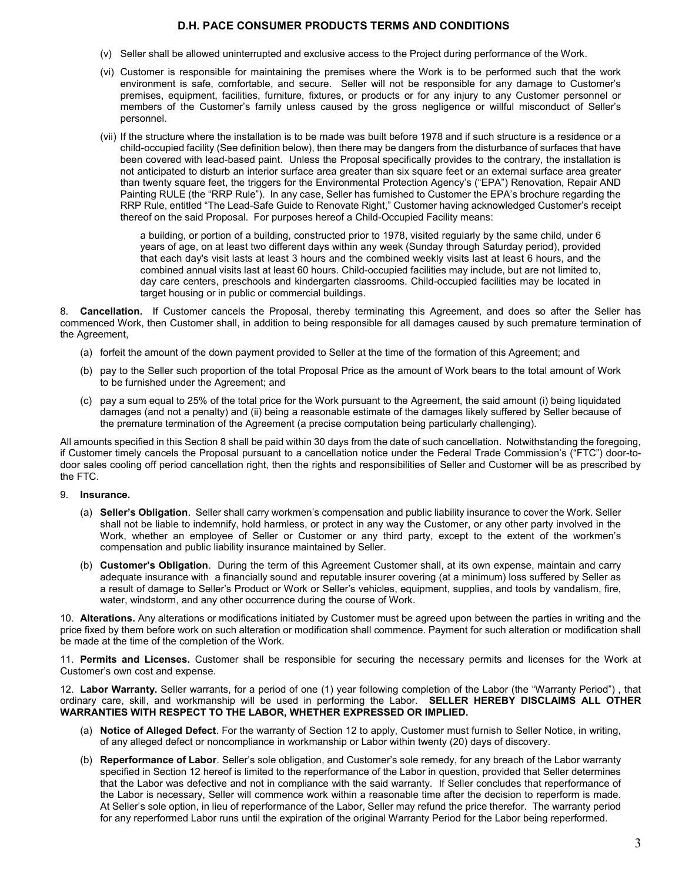- (v) Seller shall be allowed uninterrupted and exclusive access to the Project during performance of the Work.
- (vi) Customer is responsible for maintaining the premises where the Work is to be performed such that the work environment is safe, comfortable, and secure. Seller will not be responsible for any damage to Customer's premises, equipment, facilities, furniture, fixtures, or products or for any injury to any Customer personnel or members of the Customer's family unless caused by the gross negligence or willful misconduct of Seller's personnel.
- (vii) If the structure where the installation is to be made was built before 1978 and if such structure is a residence or a child-occupied facility (See definition below), then there may be dangers from the disturbance of surfaces that have been covered with lead-based paint. Unless the Proposal specifically provides to the contrary, the installation is not anticipated to disturb an interior surface area greater than six square feet or an external surface area greater than twenty square feet, the triggers for the Environmental Protection Agency's ("EPA") Renovation, Repair AND Painting RULE (the "RRP Rule"). In any case, Seller has furnished to Customer the EPA's brochure regarding the RRP Rule, entitled "The Lead-Safe Guide to Renovate Right," Customer having acknowledged Customer's receipt thereof on the said Proposal. For purposes hereof a Child-Occupied Facility means:

a building, or portion of a building, constructed prior to 1978, visited regularly by the same child, under 6 years of age, on at least two different days within any week (Sunday through Saturday period), provided that each day's visit lasts at least 3 hours and the combined weekly visits last at least 6 hours, and the combined annual visits last at least 60 hours. Child-occupied facilities may include, but are not limited to, day care centers, preschools and kindergarten classrooms. Child-occupied facilities may be located in target housing or in public or commercial buildings.

8. Cancellation. If Customer cancels the Proposal, thereby terminating this Agreement, and does so after the Seller has commenced Work, then Customer shall, in addition to being responsible for all damages caused by such premature termination of the Agreement,

- (a) forfeit the amount of the down payment provided to Seller at the time of the formation of this Agreement; and
- (b) pay to the Seller such proportion of the total Proposal Price as the amount of Work bears to the total amount of Work to be furnished under the Agreement; and
- (c) pay a sum equal to 25% of the total price for the Work pursuant to the Agreement, the said amount (i) being liquidated damages (and not a penalty) and (ii) being a reasonable estimate of the damages likely suffered by Seller because of the premature termination of the Agreement (a precise computation being particularly challenging).

All amounts specified in this Section 8 shall be paid within 30 days from the date of such cancellation. Notwithstanding the foregoing, if Customer timely cancels the Proposal pursuant to a cancellation notice under the Federal Trade Commission's ("FTC") door-todoor sales cooling off period cancellation right, then the rights and responsibilities of Seller and Customer will be as prescribed by the FTC.

#### 9. Insurance.

- (a) Seller's Obligation. Seller shall carry workmen's compensation and public liability insurance to cover the Work. Seller shall not be liable to indemnify, hold harmless, or protect in any way the Customer, or any other party involved in the Work, whether an employee of Seller or Customer or any third party, except to the extent of the workmen's compensation and public liability insurance maintained by Seller.
- (b) Customer's Obligation. During the term of this Agreement Customer shall, at its own expense, maintain and carry adequate insurance with a financially sound and reputable insurer covering (at a minimum) loss suffered by Seller as a result of damage to Seller's Product or Work or Seller's vehicles, equipment, supplies, and tools by vandalism, fire, water, windstorm, and any other occurrence during the course of Work.

10. Alterations. Any alterations or modifications initiated by Customer must be agreed upon between the parties in writing and the price fixed by them before work on such alteration or modification shall commence. Payment for such alteration or modification shall be made at the time of the completion of the Work.

11. Permits and Licenses. Customer shall be responsible for securing the necessary permits and licenses for the Work at Customer's own cost and expense.

12. Labor Warranty. Seller warrants, for a period of one (1) year following completion of the Labor (the "Warranty Period"), that ordinary care, skill, and workmanship will be used in performing the Labor. SELLER HEREBY DISCLAIMS ALL OTHER WARRANTIES WITH RESPECT TO THE LABOR, WHETHER EXPRESSED OR IMPLIED.

- (a) Notice of Alleged Defect. For the warranty of Section 12 to apply, Customer must furnish to Seller Notice, in writing, of any alleged defect or noncompliance in workmanship or Labor within twenty (20) days of discovery.
- (b) Reperformance of Labor. Seller's sole obligation, and Customer's sole remedy, for any breach of the Labor warranty specified in Section 12 hereof is limited to the reperformance of the Labor in question, provided that Seller determines that the Labor was defective and not in compliance with the said warranty. If Seller concludes that reperformance of the Labor is necessary, Seller will commence work within a reasonable time after the decision to reperform is made. At Seller's sole option, in lieu of reperformance of the Labor, Seller may refund the price therefor. The warranty period for any reperformed Labor runs until the expiration of the original Warranty Period for the Labor being reperformed.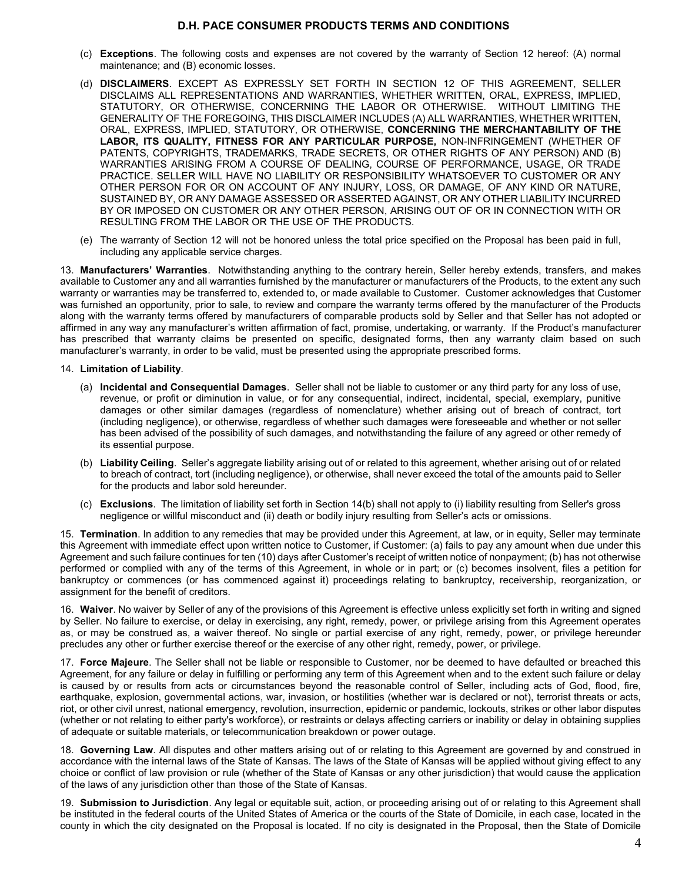- (c) Exceptions. The following costs and expenses are not covered by the warranty of Section 12 hereof: (A) normal maintenance; and (B) economic losses.
- (d) DISCLAIMERS. EXCEPT AS EXPRESSLY SET FORTH IN SECTION 12 OF THIS AGREEMENT, SELLER DISCLAIMS ALL REPRESENTATIONS AND WARRANTIES, WHETHER WRITTEN, ORAL, EXPRESS, IMPLIED, STATUTORY, OR OTHERWISE, CONCERNING THE LABOR OR OTHERWISE. WITHOUT LIMITING THE GENERALITY OF THE FOREGOING, THIS DISCLAIMER INCLUDES (A) ALL WARRANTIES, WHETHER WRITTEN, ORAL, EXPRESS, IMPLIED, STATUTORY, OR OTHERWISE, CONCERNING THE MERCHANTABILITY OF THE LABOR, ITS QUALITY, FITNESS FOR ANY PARTICULAR PURPOSE, NON-INFRINGEMENT (WHETHER OF PATENTS, COPYRIGHTS, TRADEMARKS, TRADE SECRETS, OR OTHER RIGHTS OF ANY PERSON) AND (B) WARRANTIES ARISING FROM A COURSE OF DEALING, COURSE OF PERFORMANCE, USAGE, OR TRADE PRACTICE. SELLER WILL HAVE NO LIABILITY OR RESPONSIBILITY WHATSOEVER TO CUSTOMER OR ANY OTHER PERSON FOR OR ON ACCOUNT OF ANY INJURY, LOSS, OR DAMAGE, OF ANY KIND OR NATURE, SUSTAINED BY, OR ANY DAMAGE ASSESSED OR ASSERTED AGAINST, OR ANY OTHER LIABILITY INCURRED BY OR IMPOSED ON CUSTOMER OR ANY OTHER PERSON, ARISING OUT OF OR IN CONNECTION WITH OR RESULTING FROM THE LABOR OR THE USE OF THE PRODUCTS.
- (e) The warranty of Section 12 will not be honored unless the total price specified on the Proposal has been paid in full, including any applicable service charges.

13. Manufacturers' Warranties. Notwithstanding anything to the contrary herein, Seller hereby extends, transfers, and makes available to Customer any and all warranties furnished by the manufacturer or manufacturers of the Products, to the extent any such warranty or warranties may be transferred to, extended to, or made available to Customer. Customer acknowledges that Customer was furnished an opportunity, prior to sale, to review and compare the warranty terms offered by the manufacturer of the Products along with the warranty terms offered by manufacturers of comparable products sold by Seller and that Seller has not adopted or affirmed in any way any manufacturer's written affirmation of fact, promise, undertaking, or warranty. If the Product's manufacturer has prescribed that warranty claims be presented on specific, designated forms, then any warranty claim based on such manufacturer's warranty, in order to be valid, must be presented using the appropriate prescribed forms.

#### 14. Limitation of Liability.

- (a) Incidental and Consequential Damages. Seller shall not be liable to customer or any third party for any loss of use, revenue, or profit or diminution in value, or for any consequential, indirect, incidental, special, exemplary, punitive damages or other similar damages (regardless of nomenclature) whether arising out of breach of contract, tort (including negligence), or otherwise, regardless of whether such damages were foreseeable and whether or not seller has been advised of the possibility of such damages, and notwithstanding the failure of any agreed or other remedy of its essential purpose.
- (b) Liability Ceiling. Seller's aggregate liability arising out of or related to this agreement, whether arising out of or related to breach of contract, tort (including negligence), or otherwise, shall never exceed the total of the amounts paid to Seller for the products and labor sold hereunder.
- (c) Exclusions. The limitation of liability set forth in Section 14(b) shall not apply to (i) liability resulting from Seller's gross negligence or willful misconduct and (ii) death or bodily injury resulting from Seller's acts or omissions.

15. Termination. In addition to any remedies that may be provided under this Agreement, at law, or in equity, Seller may terminate this Agreement with immediate effect upon written notice to Customer, if Customer: (a) fails to pay any amount when due under this Agreement and such failure continues for ten (10) days after Customer's receipt of written notice of nonpayment; (b) has not otherwise performed or complied with any of the terms of this Agreement, in whole or in part; or (c) becomes insolvent, files a petition for bankruptcy or commences (or has commenced against it) proceedings relating to bankruptcy, receivership, reorganization, or assignment for the benefit of creditors.

16. Waiver. No waiver by Seller of any of the provisions of this Agreement is effective unless explicitly set forth in writing and signed by Seller. No failure to exercise, or delay in exercising, any right, remedy, power, or privilege arising from this Agreement operates as, or may be construed as, a waiver thereof. No single or partial exercise of any right, remedy, power, or privilege hereunder precludes any other or further exercise thereof or the exercise of any other right, remedy, power, or privilege.

17. Force Majeure. The Seller shall not be liable or responsible to Customer, nor be deemed to have defaulted or breached this Agreement, for any failure or delay in fulfilling or performing any term of this Agreement when and to the extent such failure or delay is caused by or results from acts or circumstances beyond the reasonable control of Seller, including acts of God, flood, fire, earthquake, explosion, governmental actions, war, invasion, or hostilities (whether war is declared or not), terrorist threats or acts, riot, or other civil unrest, national emergency, revolution, insurrection, epidemic or pandemic, lockouts, strikes or other labor disputes (whether or not relating to either party's workforce), or restraints or delays affecting carriers or inability or delay in obtaining supplies of adequate or suitable materials, or telecommunication breakdown or power outage.

18. Governing Law. All disputes and other matters arising out of or relating to this Agreement are governed by and construed in accordance with the internal laws of the State of Kansas. The laws of the State of Kansas will be applied without giving effect to any choice or conflict of law provision or rule (whether of the State of Kansas or any other jurisdiction) that would cause the application of the laws of any jurisdiction other than those of the State of Kansas.

19. Submission to Jurisdiction. Any legal or equitable suit, action, or proceeding arising out of or relating to this Agreement shall be instituted in the federal courts of the United States of America or the courts of the State of Domicile, in each case, located in the county in which the city designated on the Proposal is located. If no city is designated in the Proposal, then the State of Domicile